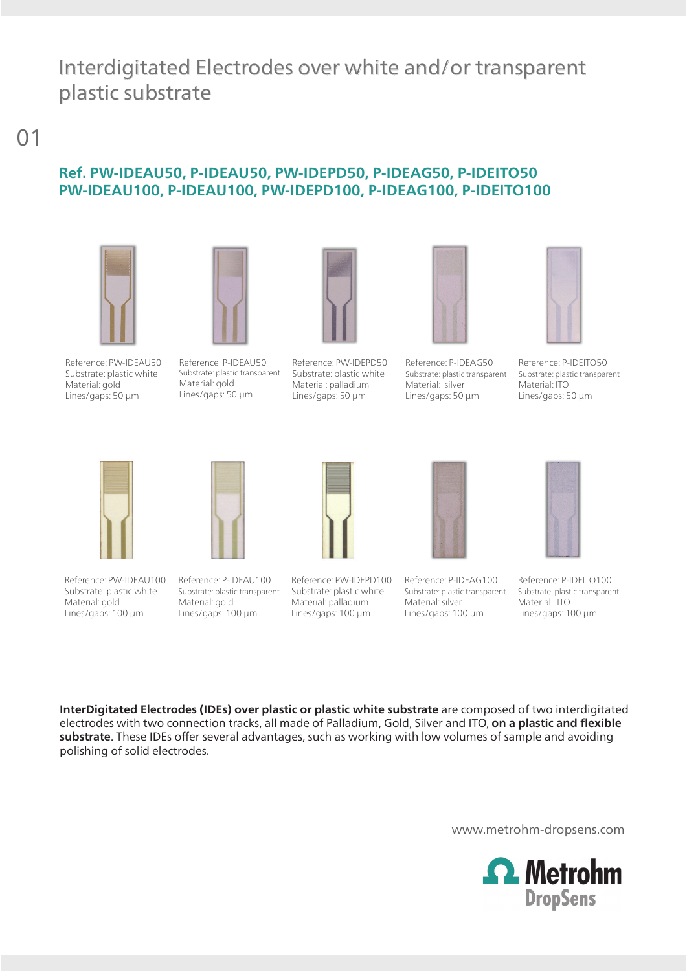## Interdigitated Electrodes over white and/or transparent plastic substrate

01

#### **Ref. PW-IDEAU50, P-IDEAU50, PW-IDEPD50, P-IDEAG50, P-IDEITO50 PW-IDEAU100, P-IDEAU100, PW-IDEPD100, P-IDEAG100, P-IDEITO100**





Reference: PW-IDEAU50 Substrate: plastic white Material: gold Lines/gaps: 50 µm

Reference: P-IDEAU50 Substrate: plastic transparent Material: gold Lines/gaps: 50 µm



Substrate: plastic white Material: palladium Lines/gaps: 50 µm



Reference: P-IDEAG50 Substrate: plastic transparent Material: silver Lines/gaps: 50 µm



Reference: P-IDEITO50 Substrate: plastic transparent Material: ITO Lines/gaps: 50 µm



Reference: PW-IDEAU100 Substrate: plastic white Material: gold Lines/gaps: 100 µm

Reference: P-IDEAU100 Substrate: plastic transparent

Material: gold Lines/gaps: 100 µm

Reference: PW-IDEPD100 Substrate: plastic white Material: palladium Lines/gaps: 100 µm



Reference: P-IDEAG100 Substrate: plastic transparent Material: silver Lines/gaps: 100 µm



Reference: P-IDEITO100 Substrate: plastic transparent Material: ITO Lines/gaps: 100 µm

**InterDigitated Electrodes (IDEs) over plastic or plastic white substrate** are composed of two interdigitated electrodes with two connection tracks, all made of Palladium, Gold, Silver and ITO, **on a plastic and flexible substrate**. These IDEs offer several advantages, such as working with low volumes of sample and avoiding polishing of solid electrodes.

www.metrohm-dropsens.com